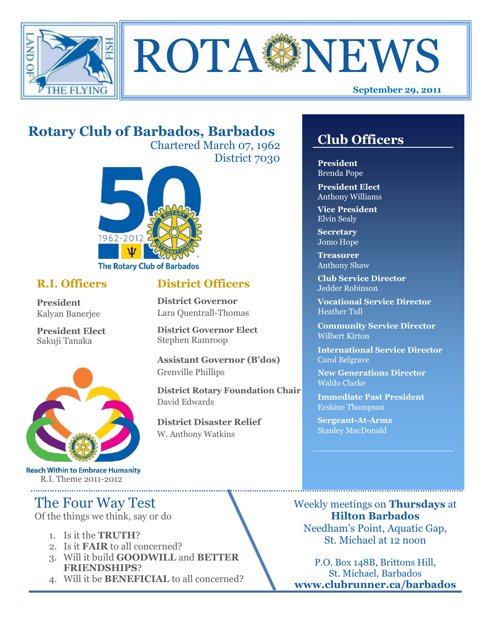



# **Rotary Club of Barbados, Barbados**

Chartered March 07, 1962 District 7030



## **R.I. Officers**

**President**  Kalyan Banerjee

**President Elect** Sakuji Tanaka



**Reach Within to Embrace Humanity** R.I. Theme 2011-2012

# The Four Way Test

Of the things we think, say or do

- 1. Is it the **TRUTH**?
- 2. Is it **FAIR** to all concerned?
- 3. Will it build **GOODWILL** and **BETTER FRIENDSHIPS**?
- 4. Will it be **BENEFICIAL** to all concerned?

# **Club Officers**

**Club Officers** 

**President** Brenda Pope

**President Elect** Anthony Williams

**Vice President** Elvin Sealy

**Secretary** Jomo Hope

**Treasurer** Anthony Shaw

**Club Service Director** Jedder Robinson

**Vocational Service Director** Heather Tull

**Community Service Director** Wilbert Kirton

**International Service Director** Carol Belgrave

**New Generations Director** Waldo Clarke

**Immediate Past President** Erskine Thompson

**Sergeant-At-Arms** Stanley MacDonald

Weekly meetings on **Thursdays** at **Hilton Barbados** Needham's Point, Aquatic Gap, St. Michael at 12 noon

P.O. Box 148B, Brittons Hill, St. Michael, Barbados **www.clubrunner.ca/barbados**

# **District Officers**

**District Governor** Lara Quentrall-Thomas

**District Governor Elect** Stephen Ramroop

**Assistant Governor (B'dos)** Grenville Phillips

**District Rotary Foundation Chair** David Edwards

**District Disaster Relief** W. Anthony Watkins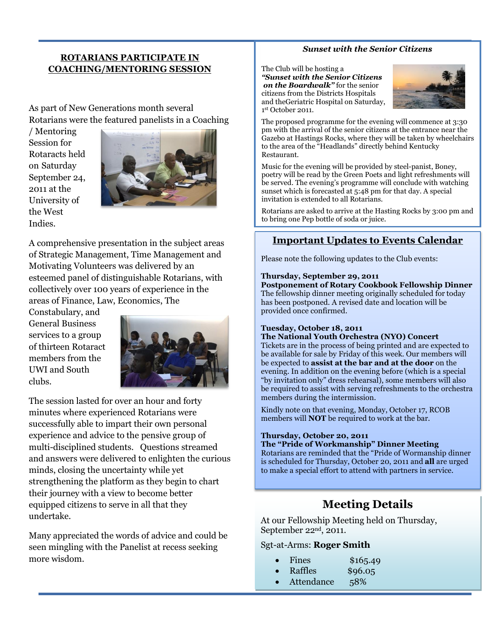### **ROTARIANS PARTICIPATE IN COACHING/MENTORING SESSION**

As part of New Generations month several Rotarians were the featured panelists in a Coaching

/ Mentoring Session for Rotaracts held on Saturday September 24, 2011 at the University of the West Indies.



A comprehensive presentation in the subject areas of Strategic Management, Time Management and Motivating Volunteers was delivered by an esteemed panel of distinguishable Rotarians, with collectively over 100 years of experience in the areas of Finance, Law, Economics, The

Constabulary, and General Business services to a group of thirteen Rotaract members from the UWI and South clubs.



The session lasted for over an hour and forty minutes where experienced Rotarians were successfully able to impart their own personal experience and advice to the pensive group of multi-disciplined students. Questions streamed and answers were delivered to enlighten the curious minds, closing the uncertainty while yet strengthening the platform as they begin to chart their journey with a view to become better equipped citizens to serve in all that they undertake.

Many appreciated the words of advice and could be seen mingling with the Panelist at recess seeking more wisdom.

#### *Sunset with the Senior Citizens*

The Club will be hosting a *"Sunset with the Senior Citizens on the Boardwalk"* for the senior citizens from the Districts Hospitals and theGeriatric Hospital on Saturday, 1 st October 2011.



The proposed programme for the evening will commence at 3:30 pm with the arrival of the senior citizens at the entrance near the Gazebo at Hastings Rocks, where they will be taken by wheelchairs to the area of the "Headlands" directly behind Kentucky Restaurant.

Music for the evening will be provided by steel-panist, Boney, poetry will be read by the Green Poets and light refreshments will be served. The evening's programme will conclude with watching sunset which is forecasted at 5:48 pm for that day. A special invitation is extended to all Rotarians.

Rotarians are asked to arrive at the Hasting Rocks by 3:00 pm and to bring one Pep bottle of soda or juice.

### **Important Updates to Events Calendar**

Please note the following updates to the Club events:

#### **Thursday, September 29, 2011**

**Postponement of Rotary Cookbook Fellowship Dinner**  The fellowship dinner meeting originally scheduled for today has been postponed. A revised date and location will be provided once confirmed.

#### **Tuesday, October 18, 2011**

**The National Youth Orchestra (NYO) Concert** 

Tickets are in the process of being printed and are expected to be available for sale by Friday of this week. Our members will be expected to **assist at the bar and at the door** on the evening. In addition on the evening before (which is a special "by invitation only" dress rehearsal), some members will also be required to assist with serving refreshments to the orchestra members during the intermission.

Kindly note on that evening, Monday, October 17, RCOB members will **NOT** be required to work at the bar.

#### **Thursday, October 20, 2011**

**The "Pride of Workmanship" Dinner Meeting** Rotarians are reminded that the "Pride of Wormanship dinner is scheduled for Thursday, October 20, 2011 and **all** are urged to make a special effort to attend with partners in service.

# **Meeting Details**

At our Fellowship Meeting held on Thursday, September 22nd, 2011.

#### Sgt-at-Arms: **Roger Smith**

- Fines \$165.49
- Raffles \$96.05
- Attendance 58%
- 
- -
	-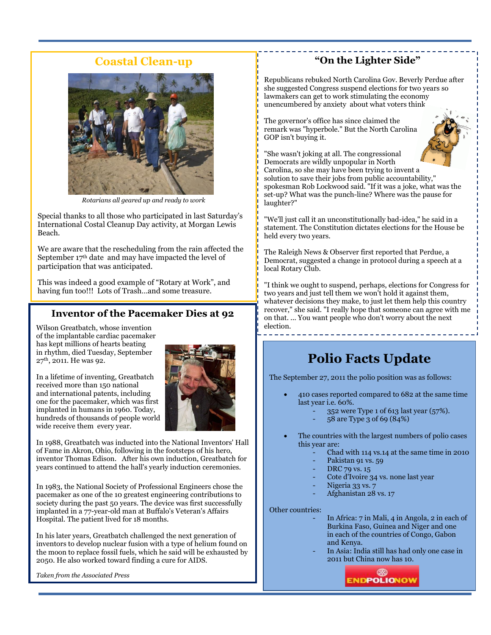### **Coastal Clean-up**



*Rotarians all geared up and ready to work*

Special thanks to all those who participated in last Saturday's International Costal Cleanup Day activity, at Morgan Lewis Beach.

We are aware that the rescheduling from the rain affected the September  $17<sup>th</sup>$  date and may have impacted the level of participation that was anticipated.

This was indeed a good example of "Rotary at Work", and having fun too!!! Lots of Trash…and some treasure.

#### **Inventor of the Pacemaker Dies at 92**

Wilson Greatbatch, whose invention of the implantable cardiac pacemaker has kept millions of hearts beating in rhythm, died Tuesday, September  $27<sup>th</sup>$ , 2011. He was 92.

In a lifetime of inventing, Greatbatch received more than 150 national and international patents, including one for the pacemaker, which was first implanted in humans in 1960. Today, hundreds of thousands of people world wide receive them every year.



In 1988, Greatbatch was inducted into the National Inventors' Hall of Fame in Akron, Ohio, following in the footsteps of his hero, inventor Thomas Edison. After his own induction, Greatbatch for years continued to attend the hall's yearly induction ceremonies.

In 1983, the National Society of Professional Engineers chose the pacemaker as one of the 10 greatest engineering contributions to society during the past 50 years. The device was first successfully implanted in a 77-year-old man at Buffalo's Veteran's Affairs Hospital. The patient lived for 18 months.

In his later years, Greatbatch challenged the next generation of inventors to develop nuclear fusion with a type of helium found on the moon to replace fossil fuels, which he said will be exhausted by 2050. He also worked toward finding a cure for AIDS.

*Taken from the Associated Press*

## **"On the Lighter Side"**

Republicans rebuked North Carolina Gov. Beverly Perdue after she suggested Congress suspend elections for two years so lawmakers can get to work stimulating the economy unencumbered by anxiety about what voters think.

The governor's office has since claimed the remark was "hyperbole." But the North Carolina GOP isn't buying it.



"She wasn't joking at all. The congressional Democrats are wildly unpopular in North Carolina, so she may have been trying to invent a solution to save their [jobs](http://www.foxnews.com/politics/2011/09/28/gop-no-joke-for-north-carolina-guv-to-suggest-suspending-elections/) from public accountability," spokesman Rob Lockwood said. "If it was a joke, what was the set-up? What was the punch-line? Where was the pause for laughter?"

"We'll just call it an unconstitutionally bad-idea," he said in a statement. The Constitution dictates elections for the House be held every two years.

The Raleigh [News](http://www.foxnews.com/politics/2011/09/28/gop-no-joke-for-north-carolina-guv-to-suggest-suspending-elections/) & Observer first reported that Perdue, a Democrat, suggested a change in protocol during a speech at a local Rotary Club.

"I think we ought to suspend, perhaps, elections for Congress for two years and just tell them we won't hold it against them, whatever decisions they make, to just let them help this country recover," she said. "I really hope that someone can agree with me on that. ... You want people who don't worry about the next election.

# **Polio Facts Update**

The September 27, 2011 the polio position was as follows:

- 410 cases reported compared to 682 at the same time last year i.e. 60%.
	- 352 were Type 1 of 613 last year (57%).
	- 58 are Type 3 of 69 (84%)
- The countries with the largest numbers of polio cases this year are:
	- Chad with 114 vs.14 at the same time in 2010
	- Pakistan 91 vs. 59
	- DRC 79 vs. 15
	- Cote d'Ivoire 34 vs. none last year
	- Nigeria 33 vs. 7
	- Afghanistan 28 vs. 17

Other countries:

- In Africa: 7 in Mali, 4 in Angola, 2 in each of Burkina Faso, Guinea and Niger and one in each of the countries of Congo, Gabon and Kenya.
- In Asia: India still has had only one case in 2011 but China now has 10.